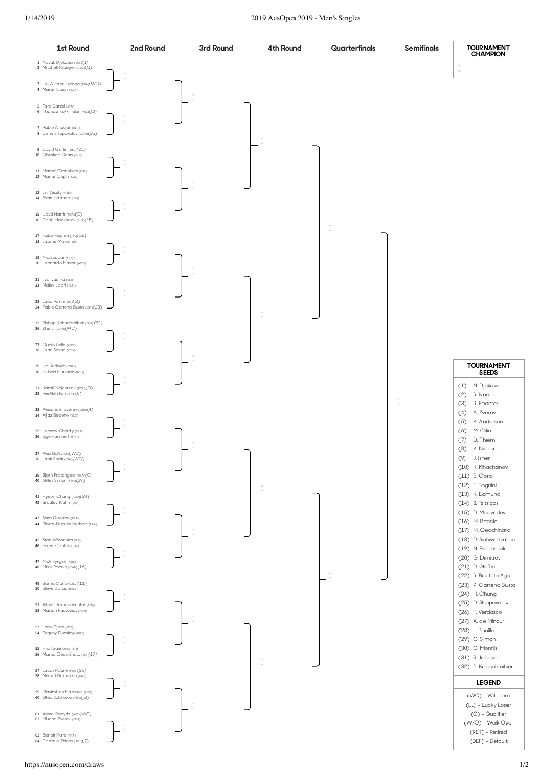